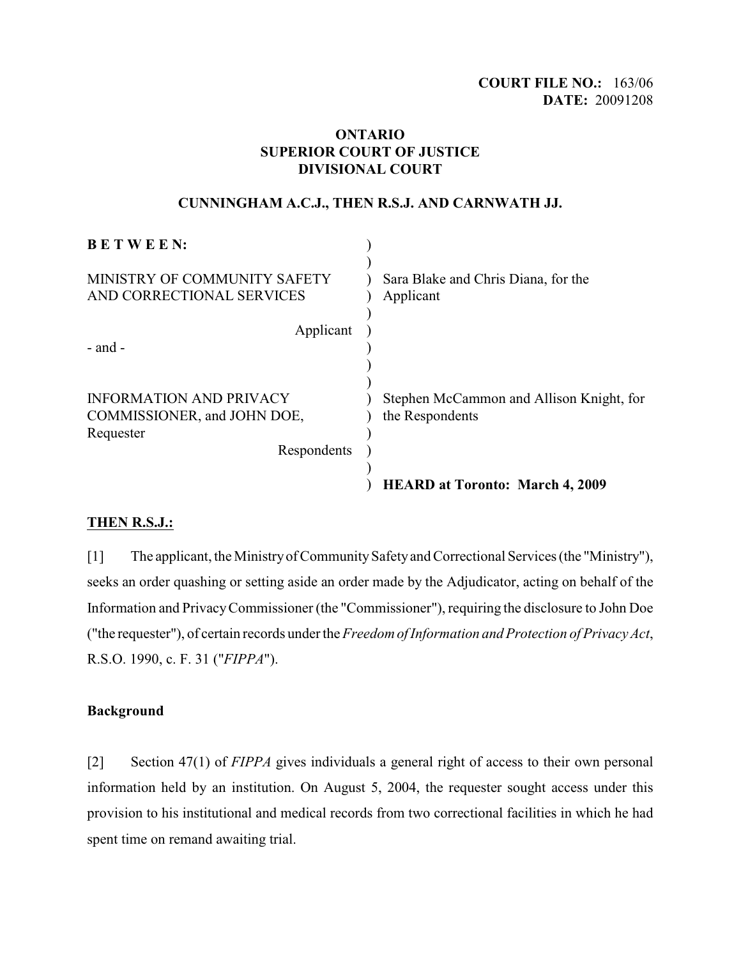# **COURT FILE NO.:** 163/06 **DATE:** 20091208

# **ONTARIO SUPERIOR COURT OF JUSTICE DIVISIONAL COURT**

# **CUNNINGHAM A.C.J., THEN R.S.J. AND CARNWATH JJ.**

| <b>BETWEEN:</b>                                                                           |                                                             |
|-------------------------------------------------------------------------------------------|-------------------------------------------------------------|
| MINISTRY OF COMMUNITY SAFETY<br>AND CORRECTIONAL SERVICES                                 | Sara Blake and Chris Diana, for the<br>Applicant            |
| Applicant<br>- and -                                                                      |                                                             |
| <b>INFORMATION AND PRIVACY</b><br>COMMISSIONER, and JOHN DOE,<br>Requester<br>Respondents | Stephen McCammon and Allison Knight, for<br>the Respondents |
|                                                                                           | <b>HEARD at Toronto: March 4, 2009</b>                      |

# **THEN R.S.J.:**

[1] The applicant, the Ministry of Community Safety and Correctional Services (the "Ministry"), seeks an order quashing or setting aside an order made by the Adjudicator, acting on behalf of the Information and PrivacyCommissioner (the "Commissioner"), requiring the disclosure to John Doe ("the requester"), of certain records under the *Freedom of Information and Protection of Privacy Act*, R.S.O. 1990, c. F. 31 ("*FIPPA*").

# **Background**

[2] Section 47(1) of *FIPPA* gives individuals a general right of access to their own personal information held by an institution. On August 5, 2004, the requester sought access under this provision to his institutional and medical records from two correctional facilities in which he had spent time on remand awaiting trial.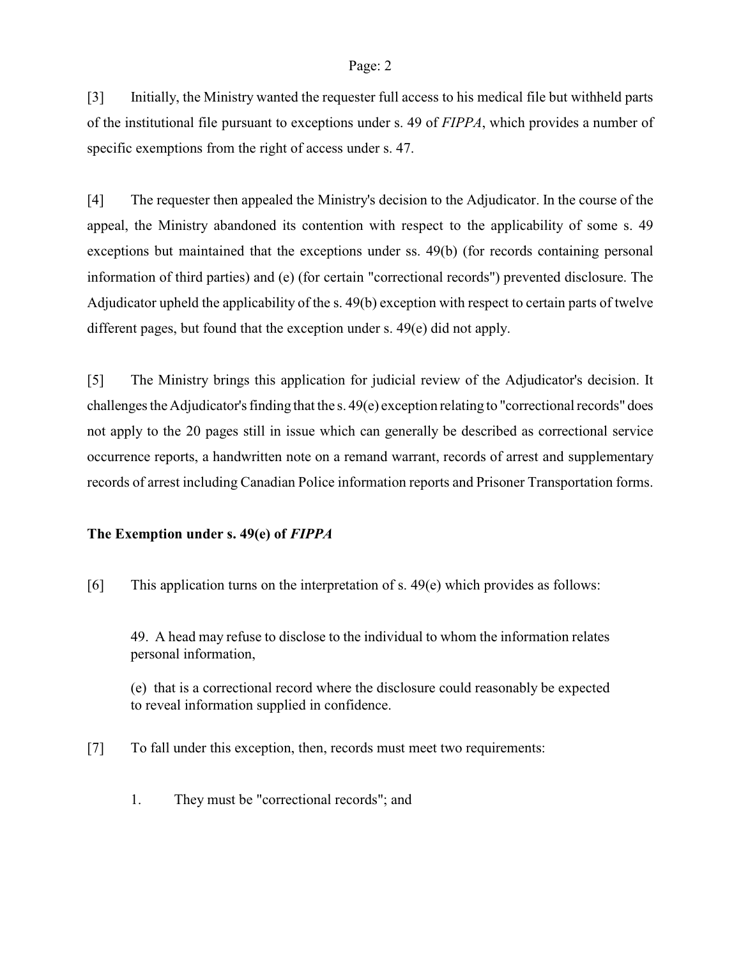[3] Initially, the Ministry wanted the requester full access to his medical file but withheld parts of the institutional file pursuant to exceptions under s. 49 of *FIPPA*, which provides a number of specific exemptions from the right of access under s. 47.

[4] The requester then appealed the Ministry's decision to the Adjudicator. In the course of the appeal, the Ministry abandoned its contention with respect to the applicability of some s. 49 exceptions but maintained that the exceptions under ss. 49(b) (for records containing personal information of third parties) and (e) (for certain "correctional records") prevented disclosure. The Adjudicator upheld the applicability of the s. 49(b) exception with respect to certain parts of twelve different pages, but found that the exception under s. 49(e) did not apply.

[5] The Ministry brings this application for judicial review of the Adjudicator's decision. It challenges the Adjudicator's finding that the s. 49(e) exception relating to "correctional records" does not apply to the 20 pages still in issue which can generally be described as correctional service occurrence reports, a handwritten note on a remand warrant, records of arrest and supplementary records of arrest including Canadian Police information reports and Prisoner Transportation forms.

## **The Exemption under s. 49(e) of** *FIPPA*

[6] This application turns on the interpretation of s.  $49(e)$  which provides as follows:

49. A head may refuse to disclose to the individual to whom the information relates personal information,

(e) that is a correctional record where the disclosure could reasonably be expected to reveal information supplied in confidence.

[7] To fall under this exception, then, records must meet two requirements:

1. They must be "correctional records"; and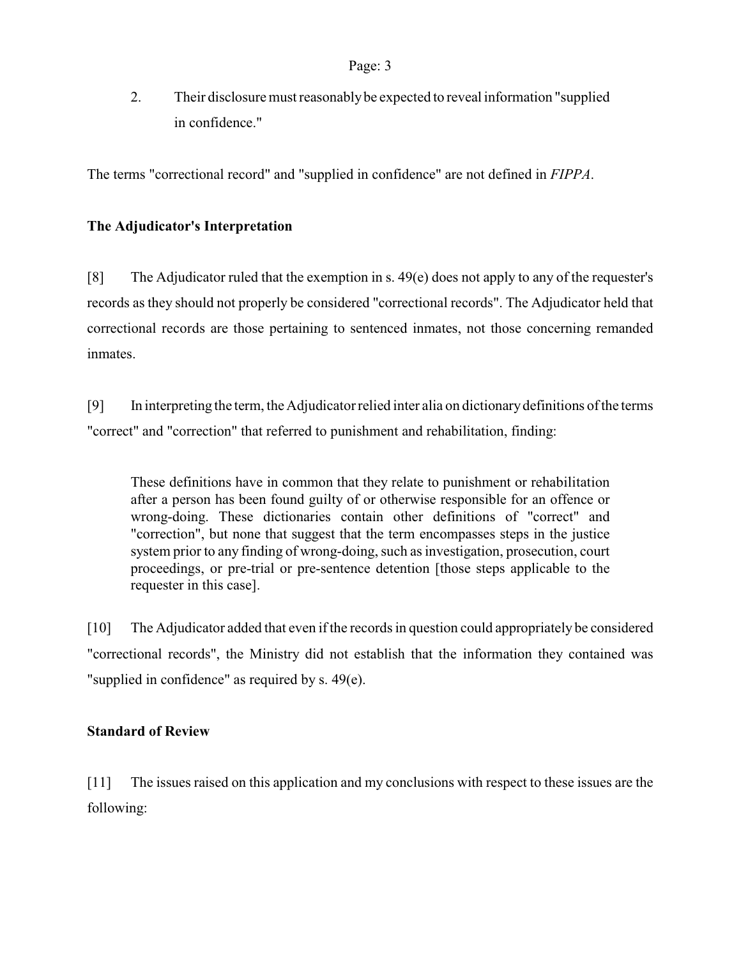2. Their disclosure must reasonably be expected to reveal information "supplied in confidence."

The terms "correctional record" and "supplied in confidence" are not defined in *FIPPA*.

# **The Adjudicator's Interpretation**

[8] The Adjudicator ruled that the exemption in s. 49(e) does not apply to any of the requester's records as they should not properly be considered "correctional records". The Adjudicator held that correctional records are those pertaining to sentenced inmates, not those concerning remanded inmates.

[9] In interpreting the term, the Adjudicator relied inter alia on dictionary definitions of the terms "correct" and "correction" that referred to punishment and rehabilitation, finding:

These definitions have in common that they relate to punishment or rehabilitation after a person has been found guilty of or otherwise responsible for an offence or wrong-doing. These dictionaries contain other definitions of "correct" and "correction", but none that suggest that the term encompasses steps in the justice system prior to any finding of wrong-doing, such as investigation, prosecution, court proceedings, or pre-trial or pre-sentence detention [those steps applicable to the requester in this case].

[10] The Adjudicator added that even if the records in question could appropriately be considered "correctional records", the Ministry did not establish that the information they contained was "supplied in confidence" as required by s. 49(e).

# **Standard of Review**

[11] The issues raised on this application and my conclusions with respect to these issues are the following: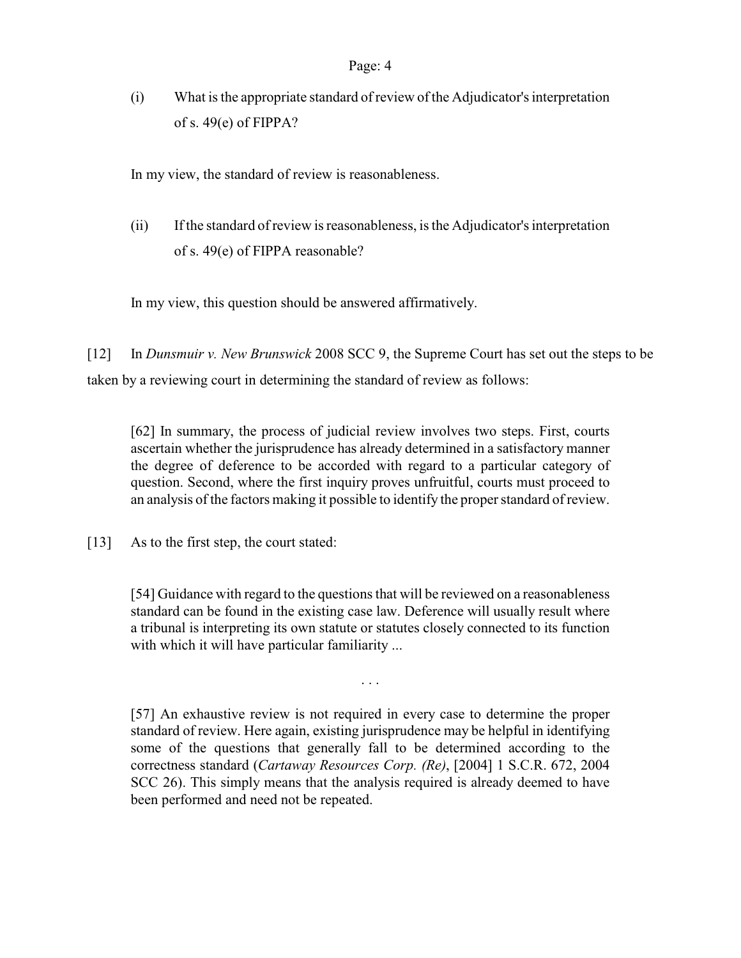(i) What is the appropriate standard of review of the Adjudicator's interpretation of s. 49(e) of FIPPA?

In my view, the standard of review is reasonableness.

(ii) If the standard of review is reasonableness, is the Adjudicator's interpretation of s. 49(e) of FIPPA reasonable?

In my view, this question should be answered affirmatively.

[12] In *Dunsmuir v. New Brunswick* 2008 SCC 9, the Supreme Court has set out the steps to be taken by a reviewing court in determining the standard of review as follows:

[62] In summary, the process of judicial review involves two steps. First, courts ascertain whether the jurisprudence has already determined in a satisfactory manner the degree of deference to be accorded with regard to a particular category of question. Second, where the first inquiry proves unfruitful, courts must proceed to an analysis of the factors making it possible to identify the proper standard of review.

[13] As to the first step, the court stated:

[54] Guidance with regard to the questions that will be reviewed on a reasonableness standard can be found in the existing case law. Deference will usually result where a tribunal is interpreting its own statute or statutes closely connected to its function with which it will have particular familiarity ...

. . .

[57] An exhaustive review is not required in every case to determine the proper standard of review. Here again, existing jurisprudence may be helpful in identifying some of the questions that generally fall to be determined according to the correctness standard (*Cartaway Resources Corp. (Re)*, [2004] 1 S.C.R. 672, 2004 SCC 26). This simply means that the analysis required is already deemed to have been performed and need not be repeated.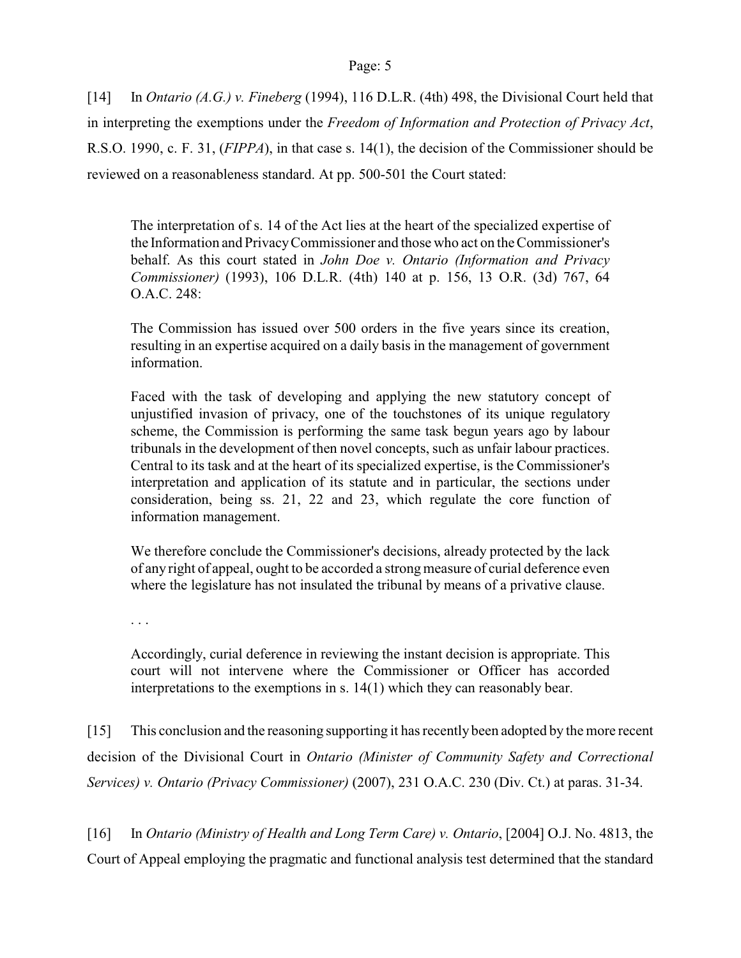[14] In *Ontario (A.G.) v. Fineberg* (1994), 116 D.L.R. (4th) 498, the Divisional Court held that in interpreting the exemptions under the *Freedom of Information and Protection of Privacy Act*, R.S.O. 1990, c. F. 31, (*FIPPA*), in that case s. 14(1), the decision of the Commissioner should be reviewed on a reasonableness standard. At pp. 500-501 the Court stated:

The interpretation of s. 14 of the Act lies at the heart of the specialized expertise of the Information and Privacy Commissioner and those who act on the Commissioner's behalf. As this court stated in *John Doe v. Ontario (Information and Privacy Commissioner)* (1993), 106 D.L.R. (4th) 140 at p. 156, 13 O.R. (3d) 767, 64 O.A.C. 248:

The Commission has issued over 500 orders in the five years since its creation, resulting in an expertise acquired on a daily basis in the management of government information.

Faced with the task of developing and applying the new statutory concept of unjustified invasion of privacy, one of the touchstones of its unique regulatory scheme, the Commission is performing the same task begun years ago by labour tribunals in the development of then novel concepts, such as unfair labour practices. Central to its task and at the heart of its specialized expertise, is the Commissioner's interpretation and application of its statute and in particular, the sections under consideration, being ss. 21, 22 and 23, which regulate the core function of information management.

We therefore conclude the Commissioner's decisions, already protected by the lack of any right of appeal, ought to be accorded a strong measure of curial deference even where the legislature has not insulated the tribunal by means of a privative clause.

. . .

Accordingly, curial deference in reviewing the instant decision is appropriate. This court will not intervene where the Commissioner or Officer has accorded interpretations to the exemptions in s. 14(1) which they can reasonably bear.

[15] This conclusion and the reasoning supporting it has recently been adopted by the more recent decision of the Divisional Court in *Ontario (Minister of Community Safety and Correctional Services) v. Ontario (Privacy Commissioner)* (2007), 231 O.A.C. 230 (Div. Ct.) at paras. 31-34.

[16] In *Ontario (Ministry of Health and Long Term Care) v. Ontario*, [2004] O.J. No. 4813, the Court of Appeal employing the pragmatic and functional analysis test determined that the standard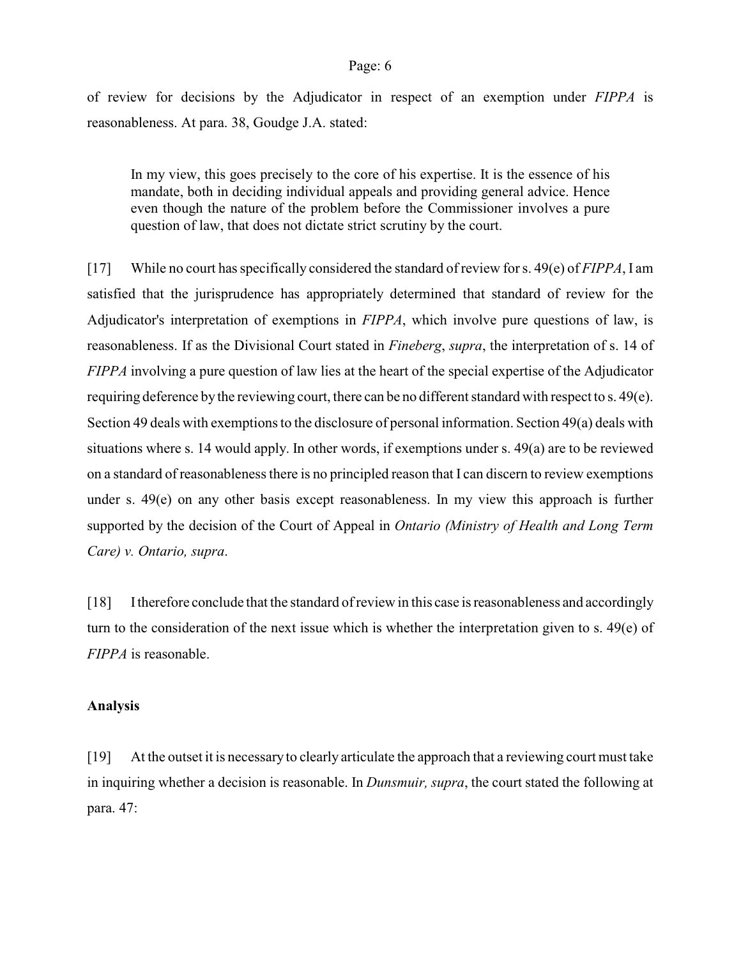of review for decisions by the Adjudicator in respect of an exemption under *FIPPA* is reasonableness. At para. 38, Goudge J.A. stated:

In my view, this goes precisely to the core of his expertise. It is the essence of his mandate, both in deciding individual appeals and providing general advice. Hence even though the nature of the problem before the Commissioner involves a pure question of law, that does not dictate strict scrutiny by the court.

[17] While no court has specifically considered the standard of review for s. 49(e) of *FIPPA*, I am satisfied that the jurisprudence has appropriately determined that standard of review for the Adjudicator's interpretation of exemptions in *FIPPA*, which involve pure questions of law, is reasonableness. If as the Divisional Court stated in *Fineberg*, *supra*, the interpretation of s. 14 of *FIPPA* involving a pure question of law lies at the heart of the special expertise of the Adjudicator requiring deference by the reviewing court, there can be no different standard with respect to s. 49(e). Section 49 deals with exemptions to the disclosure of personal information. Section 49(a) deals with situations where s. 14 would apply. In other words, if exemptions under s. 49(a) are to be reviewed on a standard of reasonableness there is no principled reason that I can discern to review exemptions under s. 49(e) on any other basis except reasonableness. In my view this approach is further supported by the decision of the Court of Appeal in *Ontario (Ministry of Health and Long Term Care) v. Ontario, supra*.

[18] I therefore conclude that the standard ofreview in this case is reasonableness and accordingly turn to the consideration of the next issue which is whether the interpretation given to s.  $49(e)$  of *FIPPA* is reasonable.

### **Analysis**

[19] At the outset it is necessary to clearly articulate the approach that a reviewing court must take in inquiring whether a decision is reasonable. In *Dunsmuir, supra*, the court stated the following at para. 47: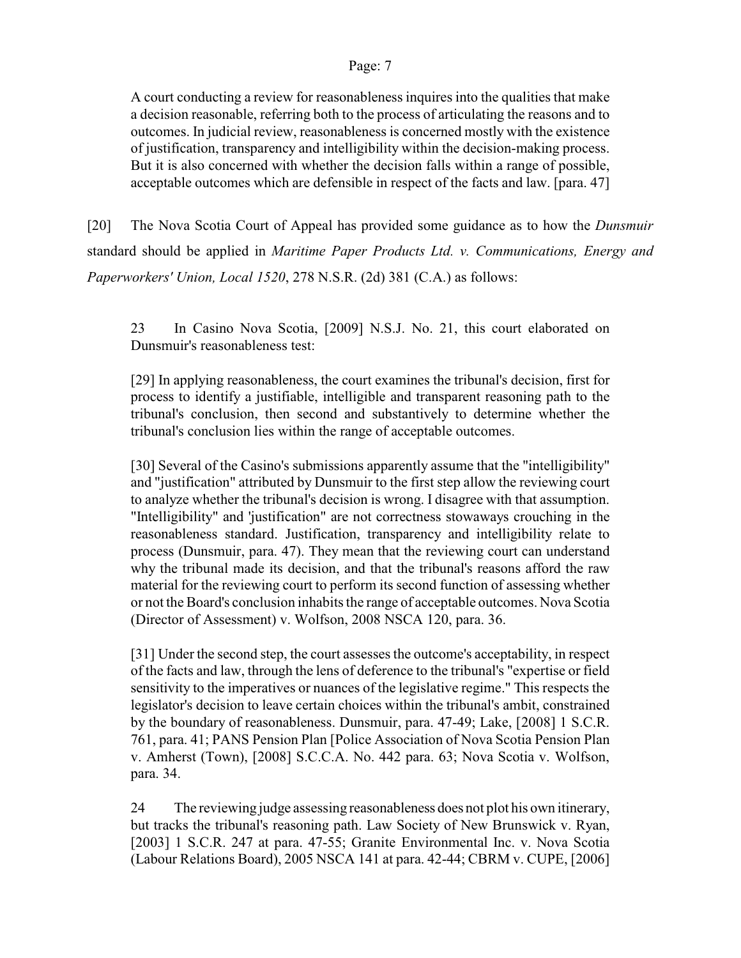A court conducting a review for reasonableness inquires into the qualities that make a decision reasonable, referring both to the process of articulating the reasons and to outcomes. In judicial review, reasonableness is concerned mostly with the existence of justification, transparency and intelligibility within the decision-making process. But it is also concerned with whether the decision falls within a range of possible, acceptable outcomes which are defensible in respect of the facts and law. [para. 47]

[20] The Nova Scotia Court of Appeal has provided some guidance as to how the *Dunsmuir* standard should be applied in *Maritime Paper Products Ltd. v. Communications, Energy and Paperworkers' Union, Local 1520*, 278 N.S.R. (2d) 381 (C.A.) as follows:

23 In Casino Nova Scotia, [2009] N.S.J. No. 21, this court elaborated on Dunsmuir's reasonableness test:

[29] In applying reasonableness, the court examines the tribunal's decision, first for process to identify a justifiable, intelligible and transparent reasoning path to the tribunal's conclusion, then second and substantively to determine whether the tribunal's conclusion lies within the range of acceptable outcomes.

[30] Several of the Casino's submissions apparently assume that the "intelligibility" and "justification" attributed by Dunsmuir to the first step allow the reviewing court to analyze whether the tribunal's decision is wrong. I disagree with that assumption. "Intelligibility" and 'justification" are not correctness stowaways crouching in the reasonableness standard. Justification, transparency and intelligibility relate to process (Dunsmuir, para. 47). They mean that the reviewing court can understand why the tribunal made its decision, and that the tribunal's reasons afford the raw material for the reviewing court to perform its second function of assessing whether or not theBoard's conclusion inhabits the range of acceptable outcomes. Nova Scotia (Director of Assessment) v. Wolfson, 2008 NSCA 120, para. 36.

[31] Under the second step, the court assesses the outcome's acceptability, in respect of the facts and law, through the lens of deference to the tribunal's "expertise or field sensitivity to the imperatives or nuances of the legislative regime." This respects the legislator's decision to leave certain choices within the tribunal's ambit, constrained by the boundary of reasonableness. Dunsmuir, para. 47-49; Lake, [2008] 1 S.C.R. 761, para. 41; PANS Pension Plan [Police Association of Nova Scotia Pension Plan v. Amherst (Town), [2008] S.C.C.A. No. 442 para. 63; Nova Scotia v. Wolfson, para. 34.

24 The reviewing judge assessing reasonableness does not plot his own itinerary, but tracks the tribunal's reasoning path. Law Society of New Brunswick v. Ryan, [2003] 1 S.C.R. 247 at para. 47-55; Granite Environmental Inc. v. Nova Scotia (Labour Relations Board), 2005 NSCA 141 at para. 42-44; CBRM v. CUPE, [2006]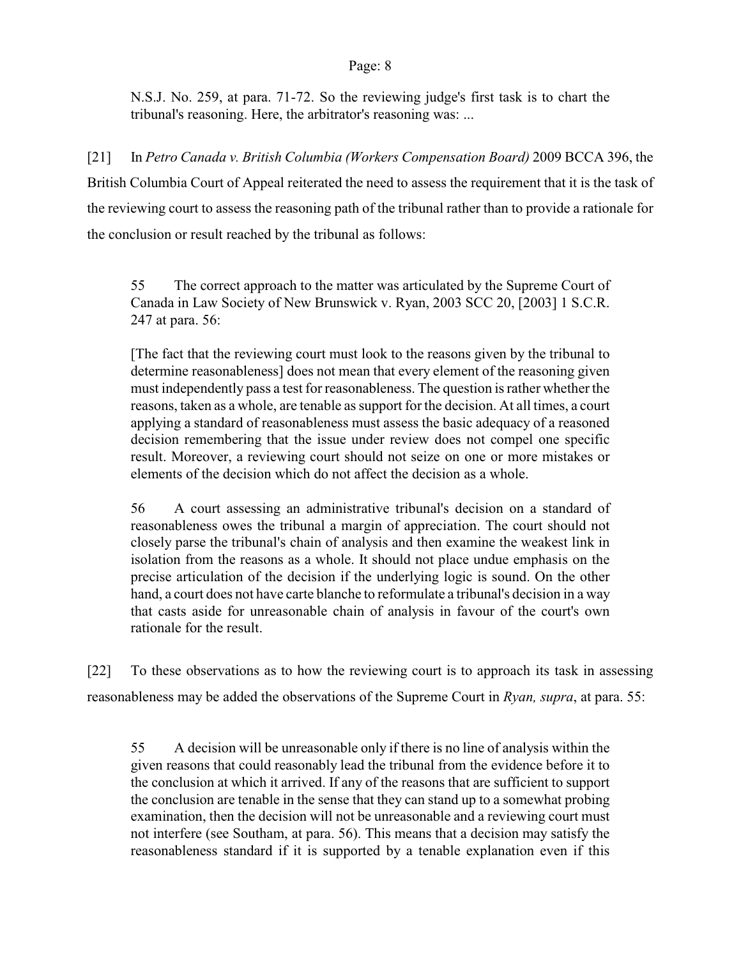N.S.J. No. 259, at para. 71-72. So the reviewing judge's first task is to chart the tribunal's reasoning. Here, the arbitrator's reasoning was: ...

[21] In *Petro Canada v. British Columbia (Workers Compensation Board)* 2009 BCCA 396, the British Columbia Court of Appeal reiterated the need to assess the requirement that it is the task of the reviewing court to assess the reasoning path of the tribunal rather than to provide a rationale for the conclusion or result reached by the tribunal as follows:

55 The correct approach to the matter was articulated by the Supreme Court of Canada in Law Society of New Brunswick v. Ryan, 2003 SCC 20, [2003] 1 S.C.R. 247 at para. 56:

[The fact that the reviewing court must look to the reasons given by the tribunal to determine reasonableness] does not mean that every element of the reasoning given must independently pass a test for reasonableness. The question is rather whether the reasons, taken as a whole, are tenable as support for the decision. At all times, a court applying a standard of reasonableness must assess the basic adequacy of a reasoned decision remembering that the issue under review does not compel one specific result. Moreover, a reviewing court should not seize on one or more mistakes or elements of the decision which do not affect the decision as a whole.

56 A court assessing an administrative tribunal's decision on a standard of reasonableness owes the tribunal a margin of appreciation. The court should not closely parse the tribunal's chain of analysis and then examine the weakest link in isolation from the reasons as a whole. It should not place undue emphasis on the precise articulation of the decision if the underlying logic is sound. On the other hand, a court does not have carte blanche to reformulate a tribunal's decision in a way that casts aside for unreasonable chain of analysis in favour of the court's own rationale for the result.

[22] To these observations as to how the reviewing court is to approach its task in assessing reasonableness may be added the observations of the Supreme Court in *Ryan, supra*, at para. 55:

55 A decision will be unreasonable only if there is no line of analysis within the given reasons that could reasonably lead the tribunal from the evidence before it to the conclusion at which it arrived. If any of the reasons that are sufficient to support the conclusion are tenable in the sense that they can stand up to a somewhat probing examination, then the decision will not be unreasonable and a reviewing court must not interfere (see Southam, at para. 56). This means that a decision may satisfy the reasonableness standard if it is supported by a tenable explanation even if this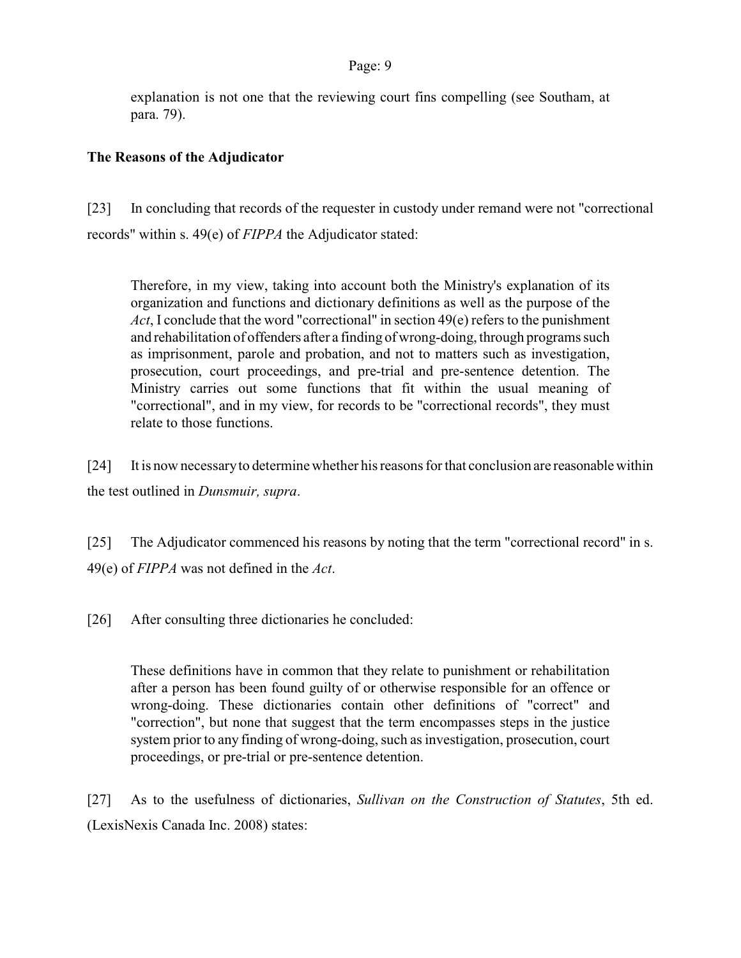explanation is not one that the reviewing court fins compelling (see Southam, at para. 79).

# **The Reasons of the Adjudicator**

[23] In concluding that records of the requester in custody under remand were not "correctional records" within s. 49(e) of *FIPPA* the Adjudicator stated:

Therefore, in my view, taking into account both the Ministry's explanation of its organization and functions and dictionary definitions as well as the purpose of the *Act*, I conclude that the word "correctional" in section 49(e) refers to the punishment and rehabilitation of offenders after a finding of wrong-doing, through programs such as imprisonment, parole and probation, and not to matters such as investigation, prosecution, court proceedings, and pre-trial and pre-sentence detention. The Ministry carries out some functions that fit within the usual meaning of "correctional", and in my view, for records to be "correctional records", they must relate to those functions.

[24] It is now necessary to determine whether his reasons for that conclusion are reasonable within the test outlined in *Dunsmuir, supra*.

[25] The Adjudicator commenced his reasons by noting that the term "correctional record" in s. 49(e) of *FIPPA* was not defined in the *Act*.

[26] After consulting three dictionaries he concluded:

These definitions have in common that they relate to punishment or rehabilitation after a person has been found guilty of or otherwise responsible for an offence or wrong-doing. These dictionaries contain other definitions of "correct" and "correction", but none that suggest that the term encompasses steps in the justice system prior to any finding of wrong-doing, such as investigation, prosecution, court proceedings, or pre-trial or pre-sentence detention.

[27] As to the usefulness of dictionaries, *Sullivan on the Construction of Statutes*, 5th ed. (LexisNexis Canada Inc. 2008) states: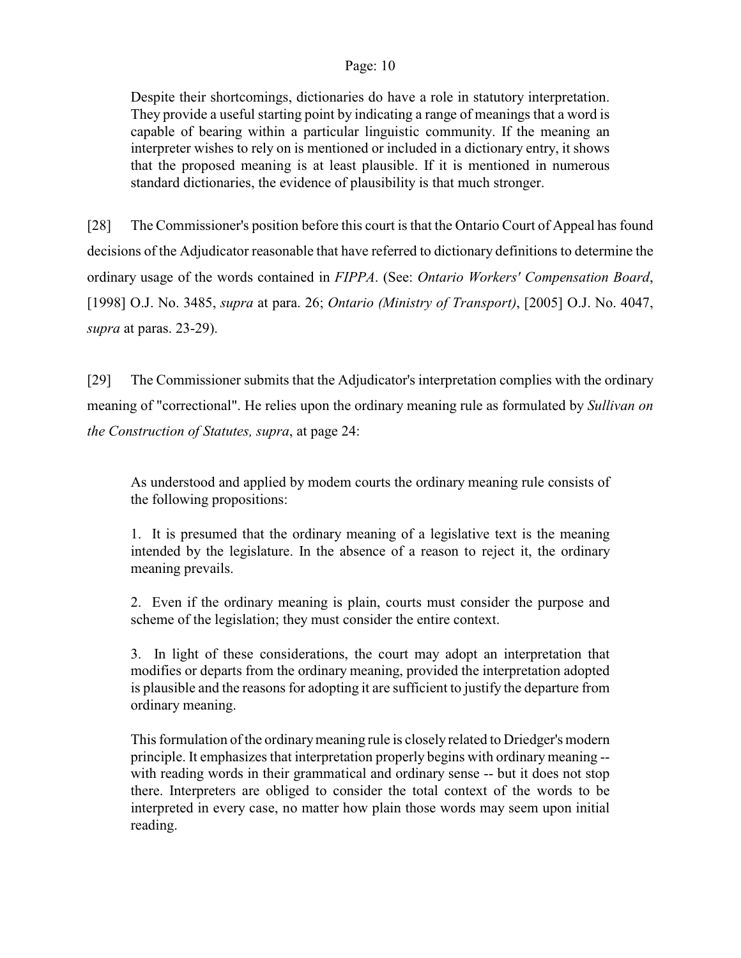Despite their shortcomings, dictionaries do have a role in statutory interpretation. They provide a useful starting point by indicating a range of meanings that a word is capable of bearing within a particular linguistic community. If the meaning an interpreter wishes to rely on is mentioned or included in a dictionary entry, it shows that the proposed meaning is at least plausible. If it is mentioned in numerous standard dictionaries, the evidence of plausibility is that much stronger.

[28] The Commissioner's position before this court is that the Ontario Court of Appeal has found decisions of the Adjudicator reasonable that have referred to dictionary definitions to determine the ordinary usage of the words contained in *FIPPA*. (See: *Ontario Workers' Compensation Board*, [1998] O.J. No. 3485, *supra* at para. 26; *Ontario (Ministry of Transport)*, [2005] O.J. No. 4047, *supra* at paras. 23-29).

[29] The Commissioner submits that the Adjudicator's interpretation complies with the ordinary meaning of "correctional". He relies upon the ordinary meaning rule as formulated by *Sullivan on the Construction of Statutes, supra*, at page 24:

As understood and applied by modem courts the ordinary meaning rule consists of the following propositions:

1. It is presumed that the ordinary meaning of a legislative text is the meaning intended by the legislature. In the absence of a reason to reject it, the ordinary meaning prevails.

2. Even if the ordinary meaning is plain, courts must consider the purpose and scheme of the legislation; they must consider the entire context.

3. In light of these considerations, the court may adopt an interpretation that modifies or departs from the ordinary meaning, provided the interpretation adopted is plausible and the reasons for adopting it are sufficient to justify the departure from ordinary meaning.

This formulation of the ordinarymeaning rule is closely related to Driedger's modern principle. It emphasizes that interpretation properly begins with ordinary meaning - with reading words in their grammatical and ordinary sense -- but it does not stop there. Interpreters are obliged to consider the total context of the words to be interpreted in every case, no matter how plain those words may seem upon initial reading.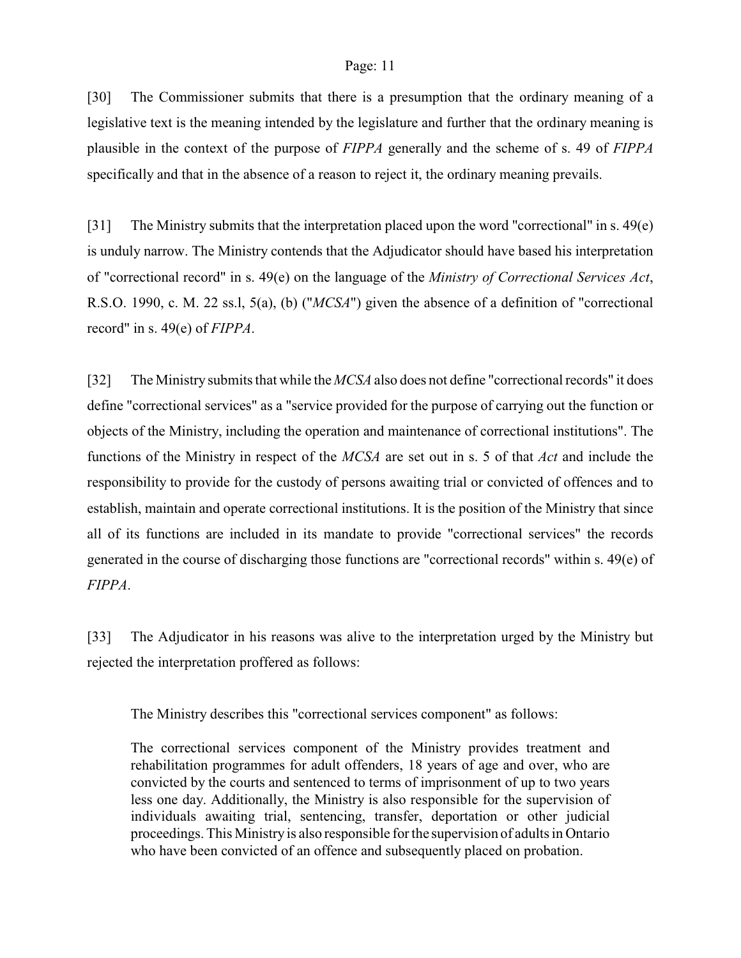[30] The Commissioner submits that there is a presumption that the ordinary meaning of a legislative text is the meaning intended by the legislature and further that the ordinary meaning is plausible in the context of the purpose of *FIPPA* generally and the scheme of s. 49 of *FIPPA* specifically and that in the absence of a reason to reject it, the ordinary meaning prevails.

[31] The Ministry submits that the interpretation placed upon the word "correctional" in s. 49(e) is unduly narrow. The Ministry contends that the Adjudicator should have based his interpretation of "correctional record" in s. 49(e) on the language of the *Ministry of Correctional Services Act*, R.S.O. 1990, c. M. 22 ss.l, 5(a), (b) ("*MCSA*") given the absence of a definition of "correctional record" in s. 49(e) of *FIPPA*.

[32] The Ministry submits that while the *MCSA* also does not define "correctional records" it does define "correctional services" as a "service provided for the purpose of carrying out the function or objects of the Ministry, including the operation and maintenance of correctional institutions". The functions of the Ministry in respect of the *MCSA* are set out in s. 5 of that *Act* and include the responsibility to provide for the custody of persons awaiting trial or convicted of offences and to establish, maintain and operate correctional institutions. It is the position of the Ministry that since all of its functions are included in its mandate to provide "correctional services" the records generated in the course of discharging those functions are "correctional records" within s. 49(e) of *FIPPA*.

[33] The Adjudicator in his reasons was alive to the interpretation urged by the Ministry but rejected the interpretation proffered as follows:

The Ministry describes this "correctional services component" as follows:

The correctional services component of the Ministry provides treatment and rehabilitation programmes for adult offenders, 18 years of age and over, who are convicted by the courts and sentenced to terms of imprisonment of up to two years less one day. Additionally, the Ministry is also responsible for the supervision of individuals awaiting trial, sentencing, transfer, deportation or other judicial proceedings. This Ministry is also responsible for the supervision of adults in Ontario who have been convicted of an offence and subsequently placed on probation.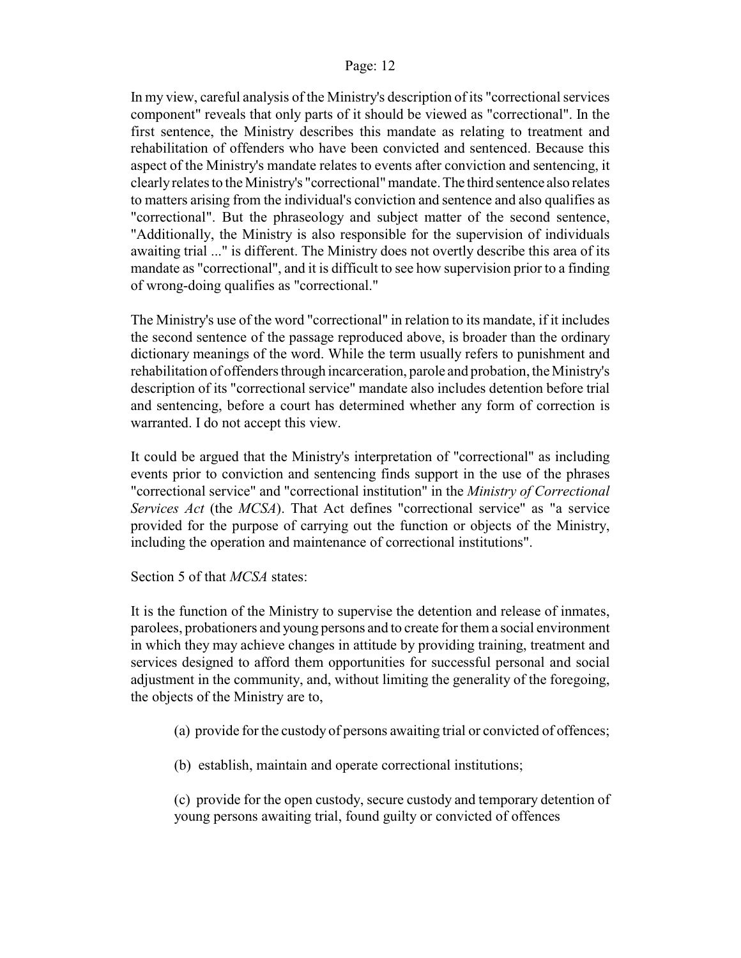In my view, careful analysis of the Ministry's description of its "correctional services component" reveals that only parts of it should be viewed as "correctional". In the first sentence, the Ministry describes this mandate as relating to treatment and rehabilitation of offenders who have been convicted and sentenced. Because this aspect of the Ministry's mandate relates to events after conviction and sentencing, it clearly relates to the Ministry's "correctional" mandate. The third sentence also relates to matters arising from the individual's conviction and sentence and also qualifies as "correctional". But the phraseology and subject matter of the second sentence, "Additionally, the Ministry is also responsible for the supervision of individuals awaiting trial ..." is different. The Ministry does not overtly describe this area of its mandate as "correctional", and it is difficult to see how supervision prior to a finding of wrong-doing qualifies as "correctional."

The Ministry's use of the word "correctional" in relation to its mandate, if it includes the second sentence of the passage reproduced above, is broader than the ordinary dictionary meanings of the word. While the term usually refers to punishment and rehabilitation of offenders through incarceration, parole and probation, the Ministry's description of its "correctional service" mandate also includes detention before trial and sentencing, before a court has determined whether any form of correction is warranted. I do not accept this view.

It could be argued that the Ministry's interpretation of "correctional" as including events prior to conviction and sentencing finds support in the use of the phrases "correctional service" and "correctional institution" in the *Ministry of Correctional Services Act* (the *MCSA*). That Act defines "correctional service" as "a service provided for the purpose of carrying out the function or objects of the Ministry, including the operation and maintenance of correctional institutions".

Section 5 of that *MCSA* states:

It is the function of the Ministry to supervise the detention and release of inmates, parolees, probationers and young persons and to create for them a social environment in which they may achieve changes in attitude by providing training, treatment and services designed to afford them opportunities for successful personal and social adjustment in the community, and, without limiting the generality of the foregoing, the objects of the Ministry are to,

- (a) provide for the custody of persons awaiting trial or convicted of offences;
- (b) establish, maintain and operate correctional institutions;

(c) provide for the open custody, secure custody and temporary detention of young persons awaiting trial, found guilty or convicted of offences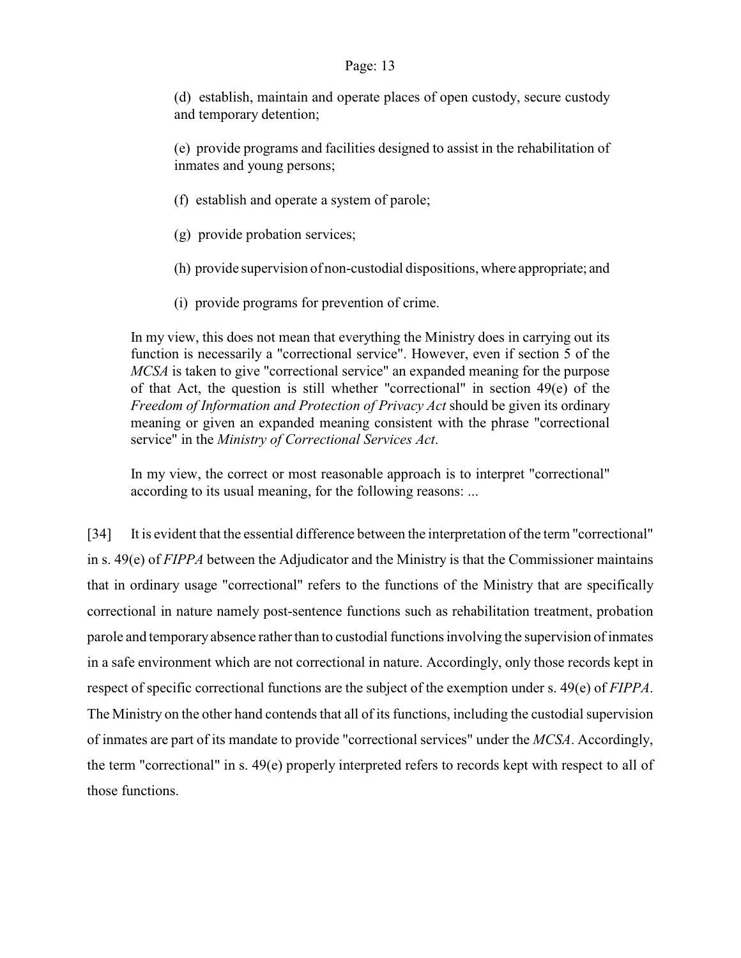(d) establish, maintain and operate places of open custody, secure custody and temporary detention;

(e) provide programs and facilities designed to assist in the rehabilitation of inmates and young persons;

- (f) establish and operate a system of parole;
- (g) provide probation services;
- (h) provide supervision of non-custodial dispositions, where appropriate; and
- (i) provide programs for prevention of crime.

In my view, this does not mean that everything the Ministry does in carrying out its function is necessarily a "correctional service". However, even if section 5 of the *MCSA* is taken to give "correctional service" an expanded meaning for the purpose of that Act, the question is still whether "correctional" in section 49(e) of the *Freedom of Information and Protection of Privacy Act* should be given its ordinary meaning or given an expanded meaning consistent with the phrase "correctional service" in the *Ministry of Correctional Services Act*.

In my view, the correct or most reasonable approach is to interpret "correctional" according to its usual meaning, for the following reasons: ...

[34] It is evident that the essential difference between the interpretation of the term "correctional" in s. 49(e) of *FIPPA* between the Adjudicator and the Ministry is that the Commissioner maintains that in ordinary usage "correctional" refers to the functions of the Ministry that are specifically correctional in nature namely post-sentence functions such as rehabilitation treatment, probation parole and temporary absence rather than to custodial functions involving the supervision of inmates in a safe environment which are not correctional in nature. Accordingly, only those records kept in respect of specific correctional functions are the subject of the exemption under s. 49(e) of *FIPPA*. The Ministry on the other hand contends that all of its functions, including the custodial supervision of inmates are part of its mandate to provide "correctional services" under the *MCSA*. Accordingly, the term "correctional" in s. 49(e) properly interpreted refers to records kept with respect to all of those functions.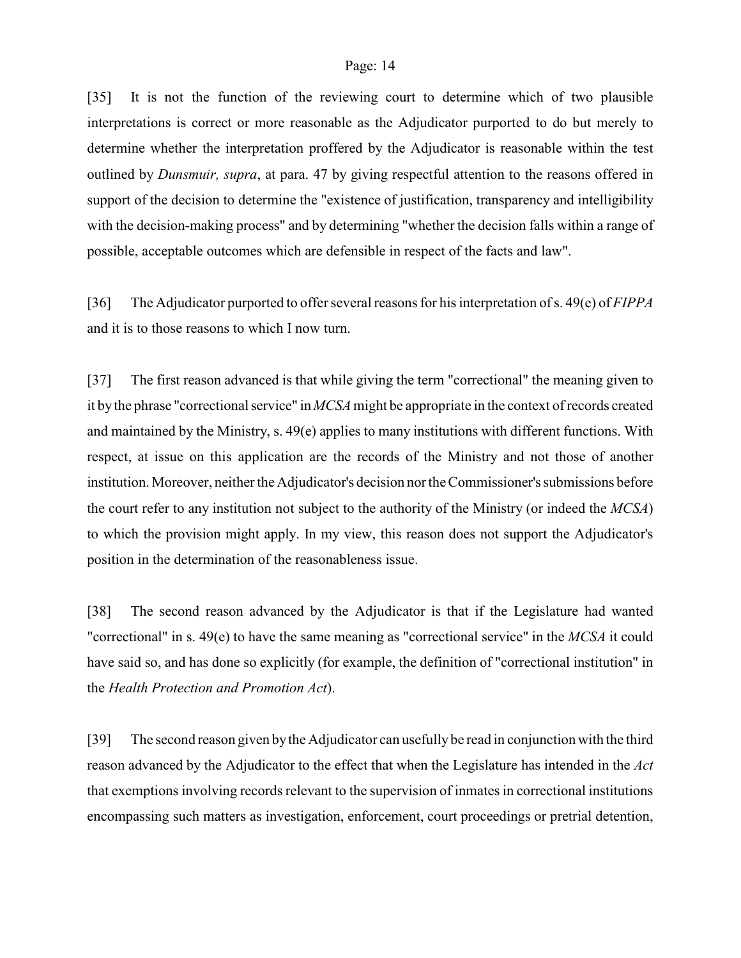[35] It is not the function of the reviewing court to determine which of two plausible interpretations is correct or more reasonable as the Adjudicator purported to do but merely to determine whether the interpretation proffered by the Adjudicator is reasonable within the test outlined by *Dunsmuir, supra*, at para. 47 by giving respectful attention to the reasons offered in support of the decision to determine the "existence of justification, transparency and intelligibility with the decision-making process" and by determining "whether the decision falls within a range of possible, acceptable outcomes which are defensible in respect of the facts and law".

[36] The Adjudicator purported to offer several reasons for his interpretation of s. 49(e) of *FIPPA* and it is to those reasons to which I now turn.

[37] The first reason advanced is that while giving the term "correctional" the meaning given to it by the phrase "correctional service" in *MCSA*might be appropriate in the context of records created and maintained by the Ministry, s. 49(e) applies to many institutions with different functions. With respect, at issue on this application are the records of the Ministry and not those of another institution. Moreover, neither the Adjudicator's decision nor the Commissioner's submissions before the court refer to any institution not subject to the authority of the Ministry (or indeed the *MCSA*) to which the provision might apply. In my view, this reason does not support the Adjudicator's position in the determination of the reasonableness issue.

[38] The second reason advanced by the Adjudicator is that if the Legislature had wanted "correctional" in s. 49(e) to have the same meaning as "correctional service" in the *MCSA* it could have said so, and has done so explicitly (for example, the definition of "correctional institution" in the *Health Protection and Promotion Act*).

[39] The second reason given by the Adjudicator can usefully be read in conjunction with the third reason advanced by the Adjudicator to the effect that when the Legislature has intended in the *Act* that exemptions involving records relevant to the supervision of inmates in correctional institutions encompassing such matters as investigation, enforcement, court proceedings or pretrial detention,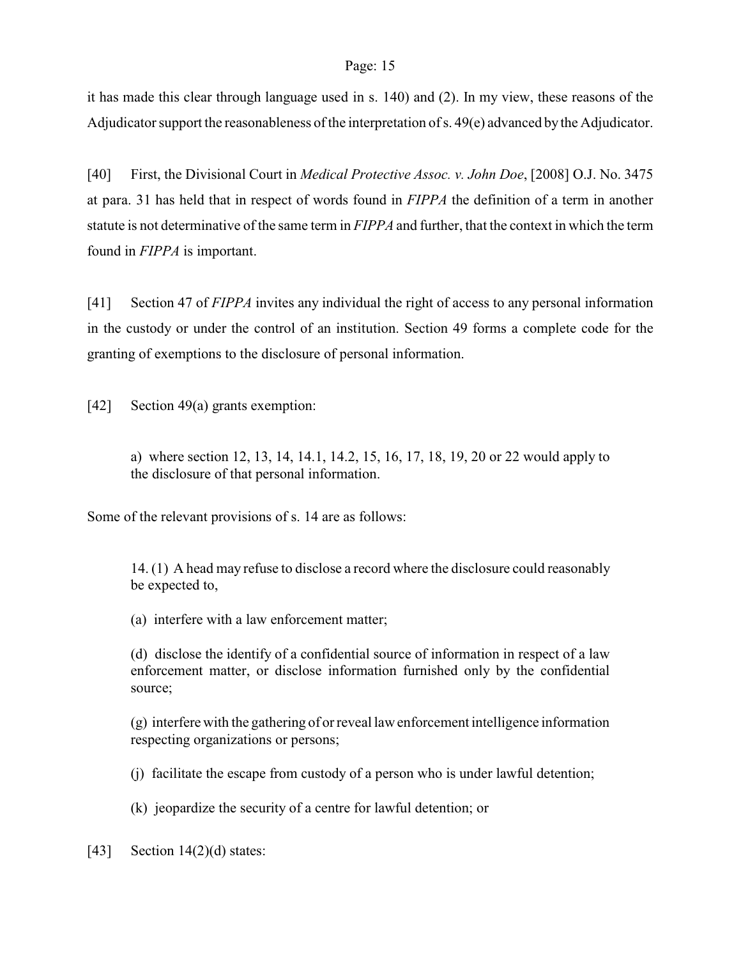it has made this clear through language used in s. 140) and (2). In my view, these reasons of the Adjudicator support the reasonableness of the interpretation of s. 49(e) advanced bythe Adjudicator.

[40] First, the Divisional Court in *Medical Protective Assoc. v. John Doe*, [2008] O.J. No. 3475 at para. 31 has held that in respect of words found in *FIPPA* the definition of a term in another statute is not determinative of the same term in *FIPPA* and further, that the context in which the term found in *FIPPA* is important.

[41] Section 47 of *FIPPA* invites any individual the right of access to any personal information in the custody or under the control of an institution. Section 49 forms a complete code for the granting of exemptions to the disclosure of personal information.

[42] Section 49(a) grants exemption:

a) where section 12, 13, 14, 14.1, 14.2, 15, 16, 17, 18, 19, 20 or 22 would apply to the disclosure of that personal information.

Some of the relevant provisions of s. 14 are as follows:

14. (1) A head may refuse to disclose a record where the disclosure could reasonably be expected to,

(a) interfere with a law enforcement matter;

(d) disclose the identify of a confidential source of information in respect of a law enforcement matter, or disclose information furnished only by the confidential source;

(g) interfere with the gathering of or reveal law enforcement intelligence information respecting organizations or persons;

(j) facilitate the escape from custody of a person who is under lawful detention;

(k) jeopardize the security of a centre for lawful detention; or

[43] Section  $14(2)(d)$  states: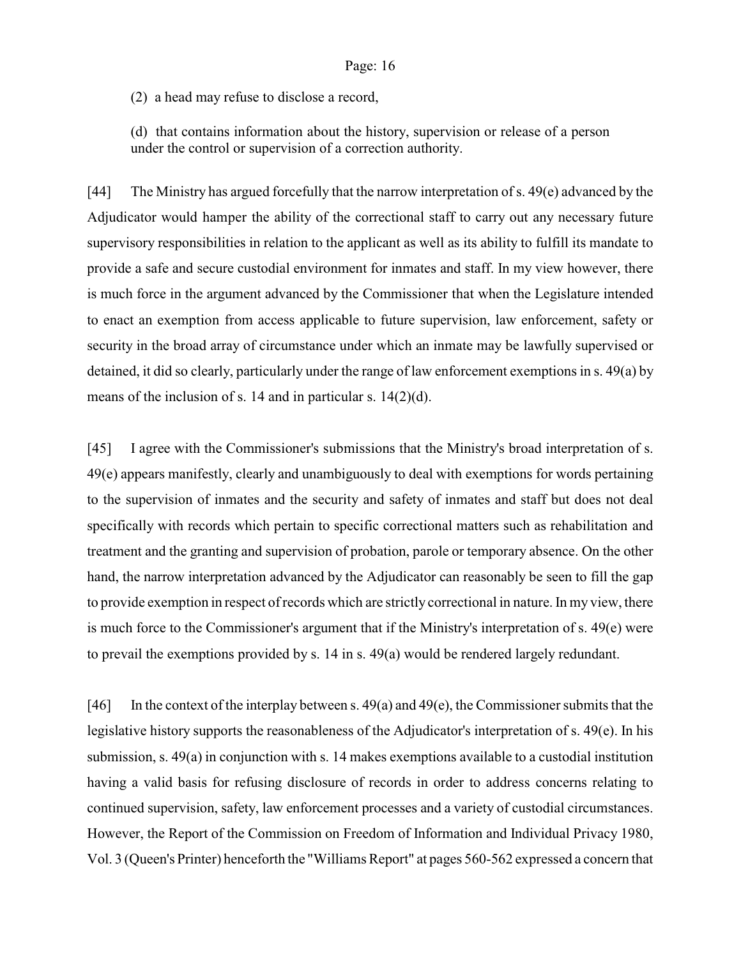(2) a head may refuse to disclose a record,

(d) that contains information about the history, supervision or release of a person under the control or supervision of a correction authority.

[44] The Ministry has argued forcefully that the narrow interpretation of s. 49(e) advanced by the Adjudicator would hamper the ability of the correctional staff to carry out any necessary future supervisory responsibilities in relation to the applicant as well as its ability to fulfill its mandate to provide a safe and secure custodial environment for inmates and staff. In my view however, there is much force in the argument advanced by the Commissioner that when the Legislature intended to enact an exemption from access applicable to future supervision, law enforcement, safety or security in the broad array of circumstance under which an inmate may be lawfully supervised or detained, it did so clearly, particularly under the range of law enforcement exemptions in s. 49(a) by means of the inclusion of s. 14 and in particular s. 14(2)(d).

[45] I agree with the Commissioner's submissions that the Ministry's broad interpretation of s. 49(e) appears manifestly, clearly and unambiguously to deal with exemptions for words pertaining to the supervision of inmates and the security and safety of inmates and staff but does not deal specifically with records which pertain to specific correctional matters such as rehabilitation and treatment and the granting and supervision of probation, parole or temporary absence. On the other hand, the narrow interpretation advanced by the Adjudicator can reasonably be seen to fill the gap to provide exemption in respect of records which are strictly correctional in nature. In my view, there is much force to the Commissioner's argument that if the Ministry's interpretation of s. 49(e) were to prevail the exemptions provided by s. 14 in s. 49(a) would be rendered largely redundant.

[46] In the context of the interplay between s.  $49(a)$  and  $49(e)$ , the Commissioner submits that the legislative history supports the reasonableness of the Adjudicator's interpretation of s. 49(e). In his submission, s. 49(a) in conjunction with s. 14 makes exemptions available to a custodial institution having a valid basis for refusing disclosure of records in order to address concerns relating to continued supervision, safety, law enforcement processes and a variety of custodial circumstances. However, the Report of the Commission on Freedom of Information and Individual Privacy 1980, Vol. 3 (Queen's Printer) henceforth the "Williams Report" at pages 560-562 expressed a concern that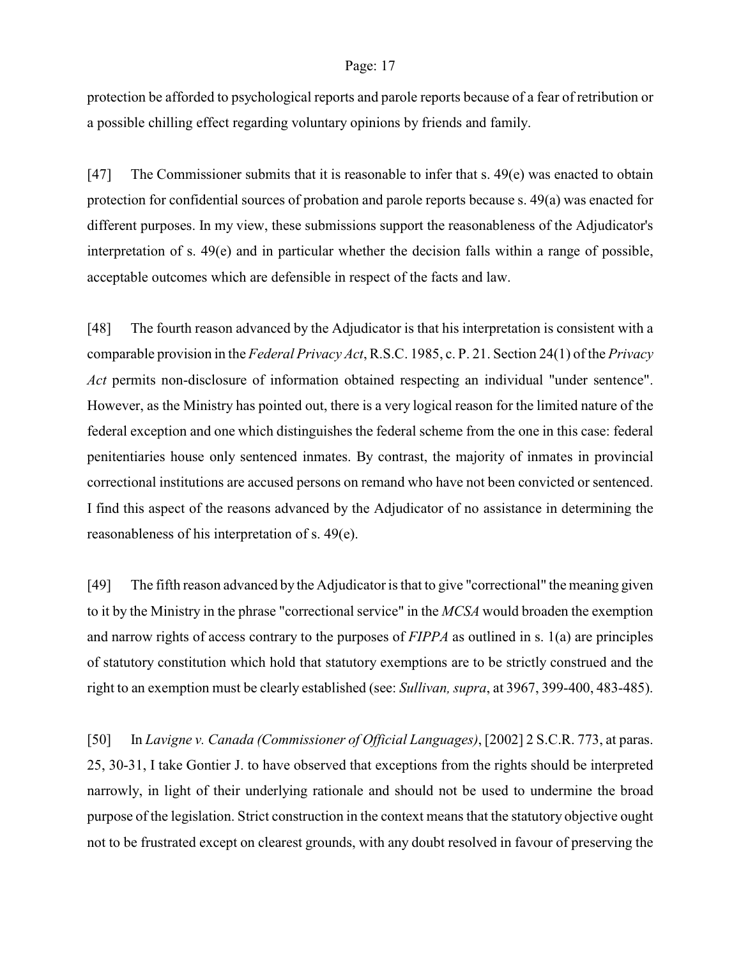protection be afforded to psychological reports and parole reports because of a fear of retribution or a possible chilling effect regarding voluntary opinions by friends and family.

[47] The Commissioner submits that it is reasonable to infer that s. 49(e) was enacted to obtain protection for confidential sources of probation and parole reports because s. 49(a) was enacted for different purposes. In my view, these submissions support the reasonableness of the Adjudicator's interpretation of s. 49(e) and in particular whether the decision falls within a range of possible, acceptable outcomes which are defensible in respect of the facts and law.

[48] The fourth reason advanced by the Adjudicator is that his interpretation is consistent with a comparable provision in the *Federal Privacy Act*, R.S.C. 1985, c. P. 21. Section 24(1) of the *Privacy Act* permits non-disclosure of information obtained respecting an individual "under sentence". However, as the Ministry has pointed out, there is a very logical reason for the limited nature of the federal exception and one which distinguishes the federal scheme from the one in this case: federal penitentiaries house only sentenced inmates. By contrast, the majority of inmates in provincial correctional institutions are accused persons on remand who have not been convicted or sentenced. I find this aspect of the reasons advanced by the Adjudicator of no assistance in determining the reasonableness of his interpretation of s. 49(e).

[49] The fifth reason advanced by the Adjudicator is that to give "correctional" the meaning given to it by the Ministry in the phrase "correctional service" in the *MCSA* would broaden the exemption and narrow rights of access contrary to the purposes of *FIPPA* as outlined in s. 1(a) are principles of statutory constitution which hold that statutory exemptions are to be strictly construed and the right to an exemption must be clearly established (see: *Sullivan, supra*, at 3967, 399-400, 483-485).

[50] In *Lavigne v. Canada (Commissioner of Official Languages)*, [2002] 2 S.C.R. 773, at paras. 25, 30-31, I take Gontier J. to have observed that exceptions from the rights should be interpreted narrowly, in light of their underlying rationale and should not be used to undermine the broad purpose of the legislation. Strict construction in the context means that the statutory objective ought not to be frustrated except on clearest grounds, with any doubt resolved in favour of preserving the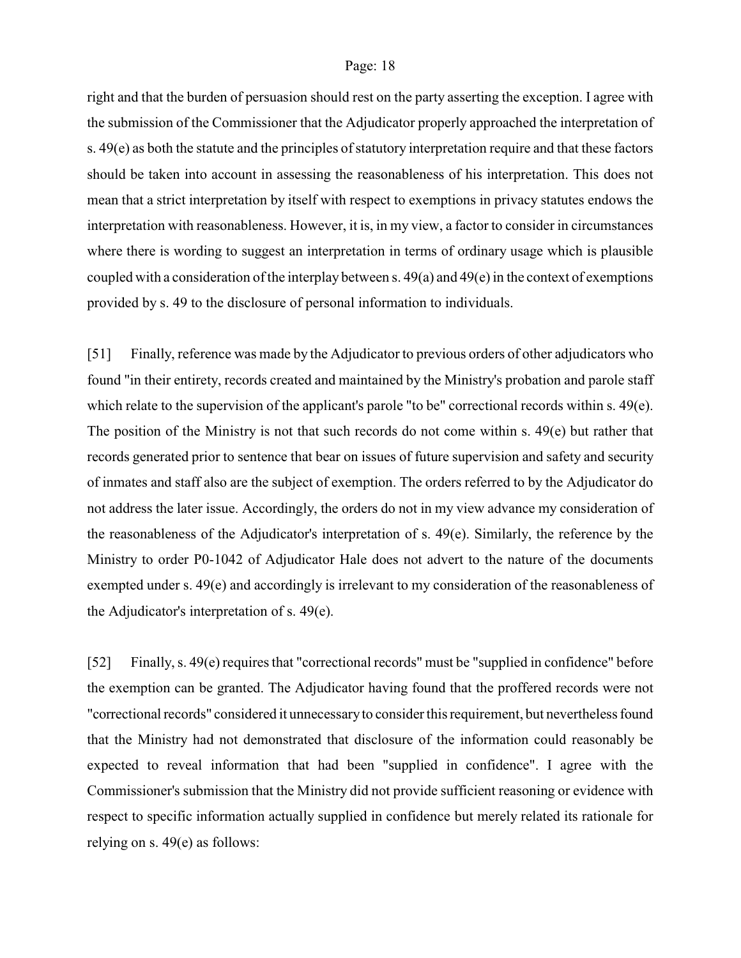right and that the burden of persuasion should rest on the party asserting the exception. I agree with the submission of the Commissioner that the Adjudicator properly approached the interpretation of s. 49(e) as both the statute and the principles of statutory interpretation require and that these factors should be taken into account in assessing the reasonableness of his interpretation. This does not mean that a strict interpretation by itself with respect to exemptions in privacy statutes endows the interpretation with reasonableness. However, it is, in my view, a factor to consider in circumstances where there is wording to suggest an interpretation in terms of ordinary usage which is plausible coupled with a consideration of the interplay between s. 49(a) and 49(e) in the context of exemptions provided by s. 49 to the disclosure of personal information to individuals.

[51] Finally, reference was made by the Adjudicator to previous orders of other adjudicators who found "in their entirety, records created and maintained by the Ministry's probation and parole staff which relate to the supervision of the applicant's parole "to be" correctional records within s. 49(e). The position of the Ministry is not that such records do not come within s. 49(e) but rather that records generated prior to sentence that bear on issues of future supervision and safety and security of inmates and staff also are the subject of exemption. The orders referred to by the Adjudicator do not address the later issue. Accordingly, the orders do not in my view advance my consideration of the reasonableness of the Adjudicator's interpretation of s. 49(e). Similarly, the reference by the Ministry to order P0-1042 of Adjudicator Hale does not advert to the nature of the documents exempted under s. 49(e) and accordingly is irrelevant to my consideration of the reasonableness of the Adjudicator's interpretation of s. 49(e).

[52] Finally, s. 49(e) requires that "correctional records" must be "supplied in confidence" before the exemption can be granted. The Adjudicator having found that the proffered records were not "correctional records" considered it unnecessary to consider this requirement, but nevertheless found that the Ministry had not demonstrated that disclosure of the information could reasonably be expected to reveal information that had been "supplied in confidence". I agree with the Commissioner's submission that the Ministry did not provide sufficient reasoning or evidence with respect to specific information actually supplied in confidence but merely related its rationale for relying on s. 49(e) as follows: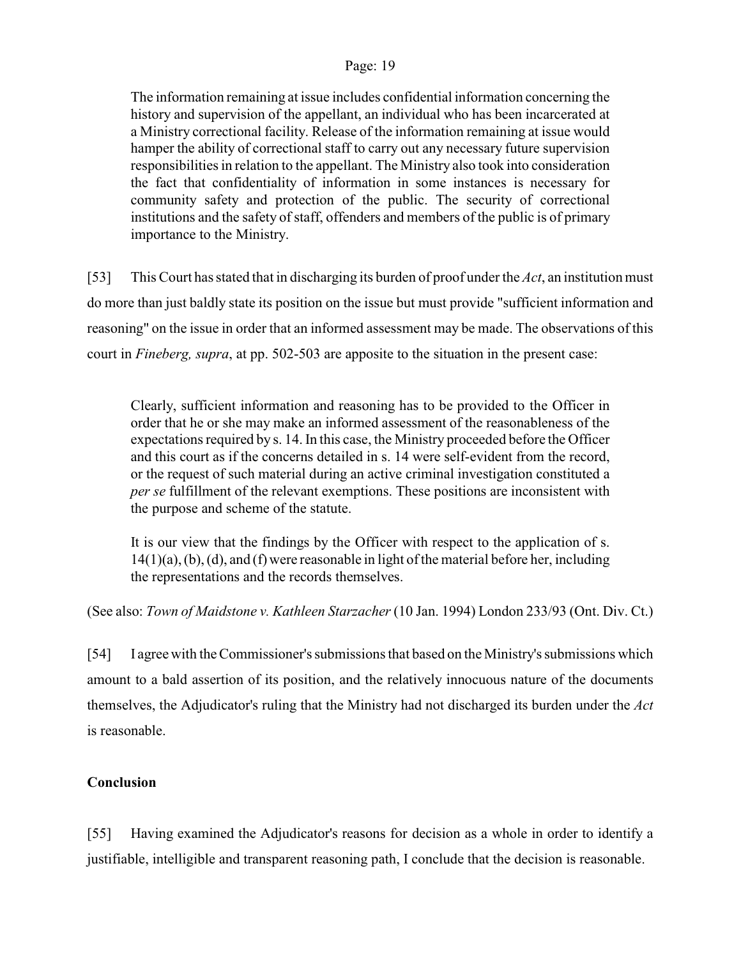The information remaining at issue includes confidential information concerning the history and supervision of the appellant, an individual who has been incarcerated at a Ministry correctional facility. Release of the information remaining at issue would hamper the ability of correctional staff to carry out any necessary future supervision responsibilities in relation to the appellant. The Ministry also took into consideration the fact that confidentiality of information in some instances is necessary for community safety and protection of the public. The security of correctional institutions and the safety of staff, offenders and members of the public is of primary importance to the Ministry.

[53] This Court has stated that in discharging its burden of proof under the *Act*, an institution must do more than just baldly state its position on the issue but must provide "sufficient information and reasoning" on the issue in order that an informed assessment may be made. The observations of this court in *Fineberg, supra*, at pp. 502-503 are apposite to the situation in the present case:

Clearly, sufficient information and reasoning has to be provided to the Officer in order that he or she may make an informed assessment of the reasonableness of the expectations required by s. 14. In this case, the Ministry proceeded before the Officer and this court as if the concerns detailed in s. 14 were self-evident from the record, or the request of such material during an active criminal investigation constituted a *per se* fulfillment of the relevant exemptions. These positions are inconsistent with the purpose and scheme of the statute.

It is our view that the findings by the Officer with respect to the application of s. 14(1)(a), (b), (d), and (f) were reasonable in light of the material before her, including the representations and the records themselves.

(See also: *Town of Maidstone v. Kathleen Starzacher* (10 Jan. 1994) London 233/93 (Ont. Div. Ct.)

[54] I agree with theCommissioner's submissions that based on the Ministry's submissions which amount to a bald assertion of its position, and the relatively innocuous nature of the documents themselves, the Adjudicator's ruling that the Ministry had not discharged its burden under the *Act* is reasonable.

# **Conclusion**

[55] Having examined the Adjudicator's reasons for decision as a whole in order to identify a justifiable, intelligible and transparent reasoning path, I conclude that the decision is reasonable.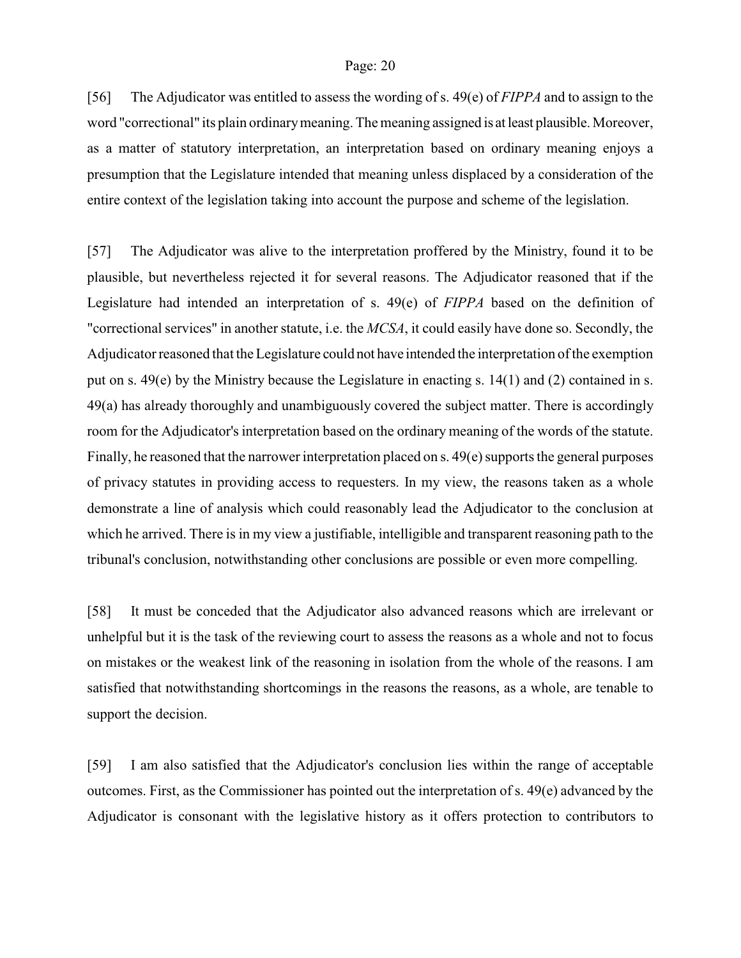[56] The Adjudicator was entitled to assess the wording of s. 49(e) of *FIPPA* and to assign to the word "correctional" its plain ordinary meaning. The meaning assigned is at least plausible. Moreover, as a matter of statutory interpretation, an interpretation based on ordinary meaning enjoys a presumption that the Legislature intended that meaning unless displaced by a consideration of the entire context of the legislation taking into account the purpose and scheme of the legislation.

[57] The Adjudicator was alive to the interpretation proffered by the Ministry, found it to be plausible, but nevertheless rejected it for several reasons. The Adjudicator reasoned that if the Legislature had intended an interpretation of s. 49(e) of *FIPPA* based on the definition of "correctional services" in another statute, i.e. the *MCSA*, it could easily have done so. Secondly, the Adjudicator reasoned that the Legislature could not have intended the interpretation of the exemption put on s. 49(e) by the Ministry because the Legislature in enacting s. 14(1) and (2) contained in s. 49(a) has already thoroughly and unambiguously covered the subject matter. There is accordingly room for the Adjudicator's interpretation based on the ordinary meaning of the words of the statute. Finally, he reasoned that the narrower interpretation placed on s. 49(e) supports the general purposes of privacy statutes in providing access to requesters. In my view, the reasons taken as a whole demonstrate a line of analysis which could reasonably lead the Adjudicator to the conclusion at which he arrived. There is in my view a justifiable, intelligible and transparent reasoning path to the tribunal's conclusion, notwithstanding other conclusions are possible or even more compelling.

[58] It must be conceded that the Adjudicator also advanced reasons which are irrelevant or unhelpful but it is the task of the reviewing court to assess the reasons as a whole and not to focus on mistakes or the weakest link of the reasoning in isolation from the whole of the reasons. I am satisfied that notwithstanding shortcomings in the reasons the reasons, as a whole, are tenable to support the decision.

[59] I am also satisfied that the Adjudicator's conclusion lies within the range of acceptable outcomes. First, as the Commissioner has pointed out the interpretation of s. 49(e) advanced by the Adjudicator is consonant with the legislative history as it offers protection to contributors to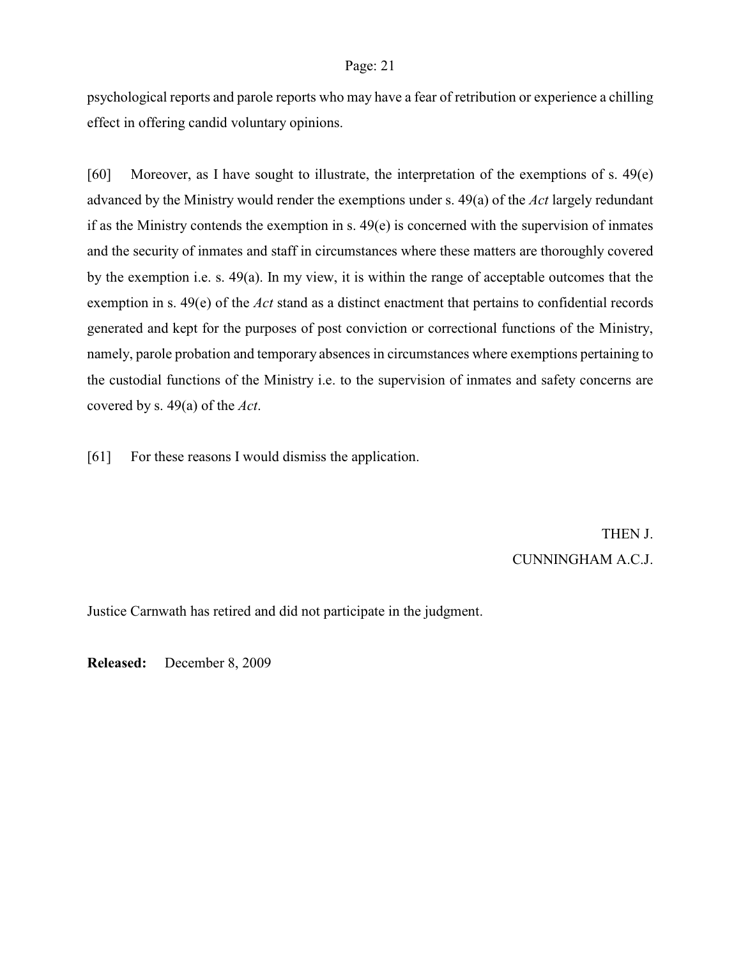psychological reports and parole reports who may have a fear of retribution or experience a chilling effect in offering candid voluntary opinions.

[60] Moreover, as I have sought to illustrate, the interpretation of the exemptions of s. 49(e) advanced by the Ministry would render the exemptions under s. 49(a) of the *Act* largely redundant if as the Ministry contends the exemption in s. 49(e) is concerned with the supervision of inmates and the security of inmates and staff in circumstances where these matters are thoroughly covered by the exemption i.e. s. 49(a). In my view, it is within the range of acceptable outcomes that the exemption in s. 49(e) of the *Act* stand as a distinct enactment that pertains to confidential records generated and kept for the purposes of post conviction or correctional functions of the Ministry, namely, parole probation and temporary absences in circumstances where exemptions pertaining to the custodial functions of the Ministry i.e. to the supervision of inmates and safety concerns are covered by s. 49(a) of the *Act*.

[61] For these reasons I would dismiss the application.

THEN J. CUNNINGHAM A.C.J.

Justice Carnwath has retired and did not participate in the judgment.

**Released:** December 8, 2009